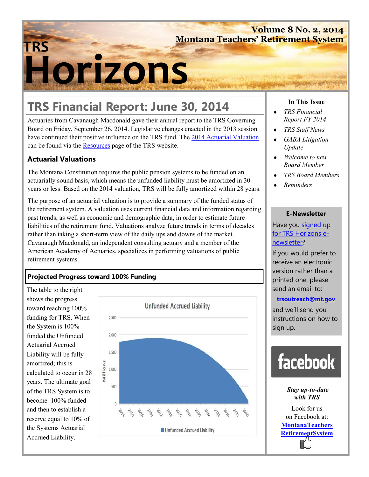## **Volume 8 No. 2, 2014 Montana Teachers' Retirement System**

# **Horizons TRS**

# **TRS Financial Report: June 30, 2014**

Actuaries from Cavanaugh Macdonald gave their annual report to the TRS Governing Board on Friday, September 26, 2014. Legislative changes enacted in the 2013 session have continued their positive influence on the TRS fund. The 2014 Actuarial Valuation can be found via the **Resources** page of the TRS website.

#### **Actuarial Valuations**

The Montana Constitution requires the public pension systems to be funded on an actuarially sound basis, which means the unfunded liability must be amortized in 30 years or less. Based on the 2014 valuation, TRS will be fully amortized within 28 years.

The purpose of an actuarial valuation is to provide a summary of the funded status of the retirement system. A valuation uses current financial data and information regarding past trends, as well as economic and demographic data, in order to estimate future liabilities of the retirement fund. Valuations analyze future trends in terms of decades rather than taking a short-term view of the daily ups and downs of the market. Cavanaugh Macdonald, an independent consulting actuary and a member of the American Academy of Actuaries, specializes in performing valuations of public retirement systems.

### **Projected Progress toward 100% Funding**

The table to the right shows the progress toward reaching 100% funding for TRS. When the System is 100% funded the Unfunded Actuarial Accrued Liability will be fully amortized; this is calculated to occur in 28 years. The ultimate goal of the TRS System is to become 100% funded and then to establish a reserve equal to 10% of the Systems Actuarial Accrued Liability.



#### **In This Issue**

- *TRS Financial Report FY 2014*
- *TRS Staff News*
- *GABA Litigation Update*
- *Welcome to new Board Member*
- *TRS Board Members*
- *Reminders*

#### **E-Newsletter**

Have you signed up for TRS Horizons enewsletter?

If you would prefer to receive an electronic version rather than a printed one, please send an email to:

#### **trsoutreach@mt.gov**

and we'll send you instructions on how to sign up.



*Stay up-to-date with TRS* 

Look for us on Facebook at: **MontanaTeachers RetirementSystem**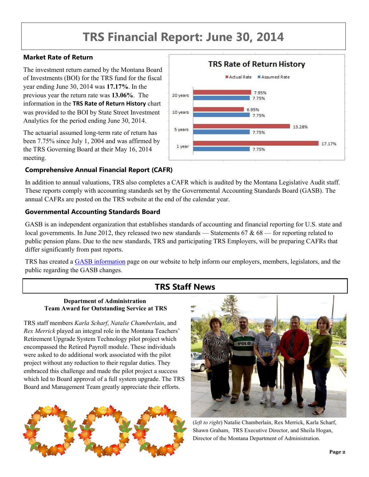# **TRS Financial Report: June 30, 2014**

#### **Market Rate of Return**

The investment return earned by the Montana Board of Investments (BOI) for the TRS fund for the fiscal year ending June 30, 2014 was **17.17%**. In the previous year the return rate was **13.06%**. The information in the **TRS Rate of Return History** chart was provided to the BOI by State Street Investment Analytics for the period ending June 30, 2014.

The actuarial assumed long-term rate of return has been 7.75% since July 1, 2004 and was affirmed by the TRS Governing Board at their May 16, 2014 meeting.

#### **Comprehensive Annual Financial Report (CAFR)**

**TRS Rate of Return History** Actual Rate Assumed Rate 7.95% 20 years 7 7 5% 695% 10 years 7 7 5% 13 28% 5 years 7 7 5% 17.17% 1 year 775%

In addition to annual valuations, TRS also completes a CAFR which is audited by the Montana Legislative Audit staff. These reports comply with accounting standards set by the Governmental Accounting Standards Board (GASB). The annual CAFRs are posted on the TRS website at the end of the calendar year.

#### **Governmental Accounting Standards Board**

GASB is an independent organization that establishes standards of accounting and financial reporting for U.S. state and local governments. In June 2012, they released two new standards — Statements  $67 & 68$  — for reporting related to public pension plans. Due to the new standards, TRS and participating TRS Employers, will be preparing CAFRs that differ significantly from past reports.

TRS has created a GASB information page on our website to help inform our employers, members, legislators, and the public regarding the GASB changes.

# **TRS Staff News**

#### **Department of Administration Team Award for Outstanding Service at TRS**

TRS staff members *Karla Scharf*, *Natalie Chamberlain*, and *Rex Merrick* played an integral role in the Montana Teachers' Retirement Upgrade System Technology pilot project which encompassed the Retired Payroll module. These individuals were asked to do additional work associated with the pilot project without any reduction to their regular duties. They embraced this challenge and made the pilot project a success which led to Board approval of a full system upgrade. The TRS Board and Management Team greatly appreciate their efforts.





(*left to right*) Natalie Chamberlain, Rex Merrick, Karla Scharf, Shawn Graham, TRS Executive Director, and Sheila Hogan, Director of the Montana Department of Administration.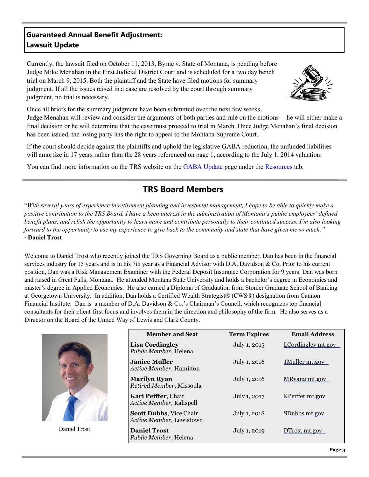## **Guaranteed Annual Benefit Adjustment: Lawsuit Update**

Currently, the lawsuit filed on October 11, 2013, Byrne v. State of Montana, is pending before Judge Mike Menahan in the First Judicial District Court and is scheduled for a two day bench trial on March 9, 2015. Both the plaintiff and the State have filed motions for summary judgment. If all the issues raised in a case are resolved by the court through summary judgment, no trial is necessary.



Once all briefs for the summary judgment have been submitted over the next few weeks, Judge Menahan will review and consider the arguments of both parties and rule on the motions -- he will either make a final decision or he will determine that the case must proceed to trial in March. Once Judge Menahan's final decision has been issued, the losing party has the right to appeal to the Montana Supreme Court.

If the court should decide against the plaintiffs and uphold the legislative GABA reduction, the unfunded liabilities will amortize in 17 years rather than the 28 years referenced on page 1, according to the July 1, 2014 valuation.

You can find more information on the TRS website on the GABA Update page under the Resources tab.

# **TRS Board Members**

"*With several years of experience in retirement planning and investment management, I hope to be able to quickly make a positive contribution to the TRS Board. I have a keen interest in the administration of Montana's public employees' defined benefit plans, and relish the opportunity to learn more and contribute personally to their continued success. I'm also looking forward to the opportunity to use my experience to give back to the community and state that have given me so much."*  ~**Daniel Trost**

Welcome to Daniel Trost who recently joined the TRS Governing Board as a public member. Dan has been in the financial services industry for 15 years and is in his 7th year as a Financial Advisor with D.A. Davidson & Co. Prior to his current position, Dan was a Risk Management Examiner with the Federal Deposit Insurance Corporation for 9 years. Dan was born and raised in Great Falls, Montana. He attended Montana State University and holds a bachelor's degree in Economics and master's degree in Applied Economics. He also earned a Diploma of Graduation from Stonier Graduate School of Banking at Georgetown University. In addition, Dan holds a Certified Wealth Strategist® (CWS®) designation from Cannon Financial Institute. Dan is a member of D.A. Davidson & Co.'s Chairman's Council, which recognizes top financial consultants for their client-first focus and involves them in the direction and philosophy of the firm. He also serves as a Director on the Board of the United Way of Lewis and Clark County.

|              | <b>Member and Seat</b>                                     | <b>Term Expires</b> | <b>Email Address</b> |
|--------------|------------------------------------------------------------|---------------------|----------------------|
|              | <b>Lisa Cordingley</b><br>Public Member, Helena            | July 1, 2015        | LCordingley mt.gov   |
|              | <b>Janice Muller</b><br>Active Member, Hamilton            | July 1, 2016        | JMuller mt.gov       |
|              | <b>Marilyn Ryan</b><br>Retired Member, Missoula            | July 1, 2016        | MRyan2 mt.gov        |
|              | Kari Peiffer, Chair<br>Active Member, Kalispell            | July 1, 2017        | KPeiffer mt.gov      |
|              | <b>Scott Dubbs, Vice Chair</b><br>Active Member, Lewistown | July 1, 2018        | SDubbs mt.gov        |
| Daniel Trost | <b>Daniel Trost</b><br>Public Member, Helena               | July 1, 2019        | DTrost mt.gov        |